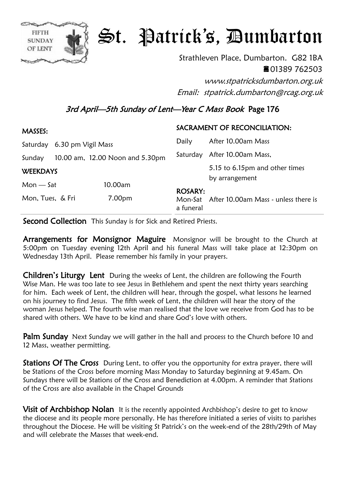

## St. Patrick's, Dumbarton

Strathleven Place, Dumbarton. G82 1BA ■01389 762503

www.stpatricksdumbarton.org.uk Email: stpatrick.dumbarton@rcag.org.uk

## 3rd April—5th Sunday of Lent—Year C Mass Book Page 176

| <b>MASSES:</b>                 |                                 |         | SACRAMENT OF RECONCILIATION: |                                                  |
|--------------------------------|---------------------------------|---------|------------------------------|--------------------------------------------------|
| 6.30 pm Vigil Mass<br>Saturday |                                 | Daily   | After 10.00am Mass           |                                                  |
| Sunday                         | 10.00 am, 12.00 Noon and 5.30pm |         |                              | Saturday After 10.00am Mass,                     |
| <b>WEEKDAYS</b>                |                                 |         |                              | 5.15 to 6.15pm and other times<br>by arrangement |
| $Mon - Sat$                    |                                 | 10.00am |                              |                                                  |
| Mon, Tues, & Fri               |                                 | 7.00pm  | <b>ROSARY:</b><br>a funeral  | Mon-Sat After 10.00am Mass - unless there is     |

Second Collection This Sunday is for Sick and Retired Priests.

Arrangements for Monsignor Maguire Monsignor will be brought to the Church at 5:00pm on Tuesday evening 12th April and his funeral Mass will take place at 12:30pm on Wednesday 13th April. Please remember his family in your prayers.

**Children's Liturgy Lent** During the weeks of Lent, the children are following the Fourth Wise Man. He was too late to see Jesus in Bethlehem and spent the next thirty years searching for him. Each week of Lent, the children will hear, through the gospel, what lessons he learned on his journey to find Jesus. The fifth week of Lent, the children will hear the story of the woman Jesus helped. The fourth wise man realised that the love we receive from God has to be shared with others. We have to be kind and share God's love with others.

**Palm Sunday** Next Sunday we will gather in the hall and process to the Church before 10 and 12 Mass, weather permitting.

**Stations Of The Cross** During Lent, to offer you the opportunity for extra prayer, there will be Stations of the Cross before morning Mass Monday to Saturday beginning at 9.45am. On Sundays there will be Stations of the Cross and Benediction at 4.00pm. A reminder that Stations of the Cross are also available in the Chapel Grounds

Visit of Archbishop Nolan It is the recently appointed Archbishop's desire to get to know the diocese and its people more personally. He has therefore initiated a series of visits to parishes throughout the Diocese. He will be visiting St Patrick's on the week-end of the 28th/29th of May and will celebrate the Masses that week-end.